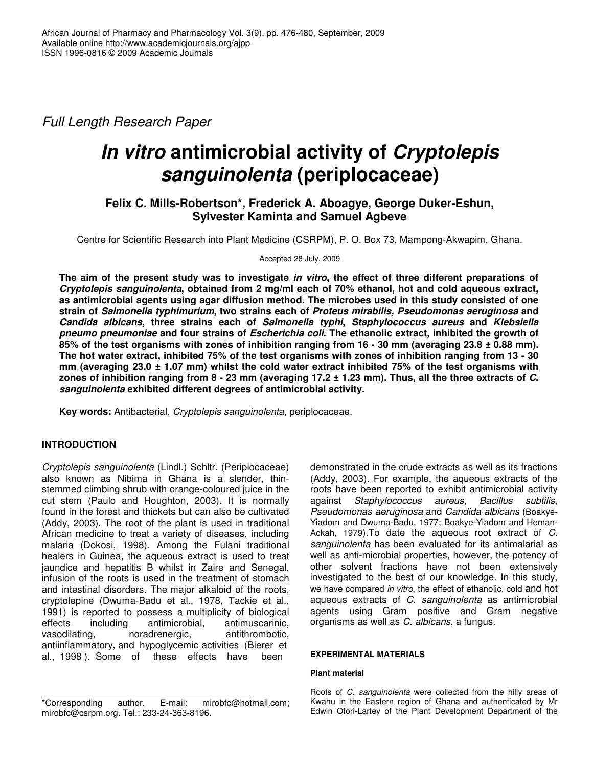*Full Length Research Paper*

# *In vitro* **antimicrobial activity of** *Cryptolepis sanguinolenta* **(periplocaceae)**

# **Felix C. Mills-Robertson\*, Frederick A. Aboagye, George Duker-Eshun, Sylvester Kaminta and Samuel Agbeve**

Centre for Scientific Research into Plant Medicine (CSRPM), P. O. Box 73, Mampong-Akwapim, Ghana.

Accepted 28 July, 2009

The aim of the present study was to investigate in vitro, the effect of three different preparations of *Cryptolepis sanguinolenta***, obtained from 2 mg/ml each of 70% ethanol, hot and cold aqueous extract, as antimicrobial agents using agar diffusion method. The microbes used in this study consisted of one strain of** *Salmonella typhimurium***, two strains each of** *Proteus mirabilis, Pseudomonas aeruginosa* **and** *Candida albicans***, three strains each of** *Salmonella typhi***,** *Staphylococcus aureus* **and** *Klebsiella pneumo pneumoniae* **and four strains of** *Escherichia coli***. The ethanolic extract, inhibited the growth of** 85% of the test organisms with zones of inhibition ranging from 16 - 30 mm (averaging  $23.8 \pm 0.88$  mm). The hot water extract, inhibited 75% of the test organisms with zones of inhibition ranging from 13 - 30 mm (averaging 23.0 ± 1.07 mm) whilst the cold water extract inhibited 75% of the test organisms with zones of inhibition ranging from  $8 - 23$  mm (averaging  $17.2 \pm 1.23$  mm). Thus, all the three extracts of C. *sanguinolenta* **exhibited different degrees of antimicrobial activity.**

**Key words:** Antibacterial, *Cryptolepis sanguinolenta*, periplocaceae.

# **INTRODUCTION**

*Cryptolepis sanguinolenta* (Lindl.) Schltr. (Periplocaceae) also known as Nibima in Ghana is a slender, thinstemmed climbing shrub with orange-coloured juice in the cut stem (Paulo and Houghton, 2003). It is normally found in the forest and thickets but can also be cultivated (Addy, 2003). The root of the plant is used in traditional African medicine to treat a variety of diseases, including malaria (Dokosi, 1998). Among the Fulani traditional healers in Guinea, the aqueous extract is used to treat jaundice and hepatitis B whilst in Zaire and Senegal, infusion of the roots is used in the treatment of stomach and intestinal disorders. The major alkaloid of the roots, cryptolepine (Dwuma-Badu et al., 1978, Tackie et al., 1991) is reported to possess a multiplicity of biological effects including antimicrobial, antimuscarinic, vasodilating, noradrenergic, antithrombotic, antiinflammatory, and hypoglycemic activities (Bierer et al., 1998 ). Some of these effects have been

\*Corresponding author. E-mail: mirobfc@hotmail.com; mirobfc@csrpm.org. Tel.: 233-24-363-8196.

demonstrated in the crude extracts as well as its fractions (Addy, 2003). For example, the aqueous extracts of the roots have been reported to exhibit antimicrobial activity against *Staphylococcus aureus*, *Bacillus subtilis*, *Pseudomonas aeruginosa* and *Candida albicans* (Boakye-Yiadom and Dwuma-Badu, 1977; Boakye-Yiadom and Heman-Ackah, 1979).To date the aqueous root extract of *C*. *sanguinolenta* has been evaluated for its antimalarial as well as anti-microbial properties, however, the potency of other solvent fractions have not been extensively investigated to the best of our knowledge. In this study, we have compared *in vitro*, the effect of ethanolic, cold and hot aqueous extracts of *C*. *sanguinolenta* as antimicrobial agents using Gram positive and Gram negative organisms as well as *C. albicans*, a fungus.

## **EXPERIMENTAL MATERIALS**

## **Plant material**

Roots of *C*. *sanguinolenta* were collected from the hilly areas of Kwahu in the Eastern region of Ghana and authenticated by Mr Edwin Ofori-Lartey of the Plant Development Department of the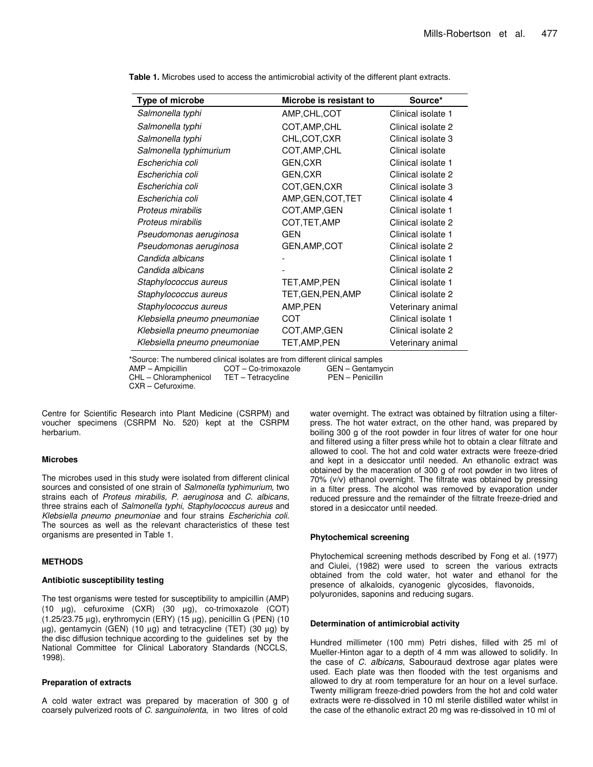| Type of microbe              | Microbe is resistant to | Source*            |
|------------------------------|-------------------------|--------------------|
| Salmonella typhi             | AMP, CHL, COT           | Clinical isolate 1 |
| Salmonella typhi             | COT, AMP, CHL           | Clinical isolate 2 |
| Salmonella typhi             | CHL, COT, CXR           | Clinical isolate 3 |
| Salmonella typhimurium       | COT, AMP, CHL           | Clinical isolate   |
| Escherichia coli             | GEN, CXR                | Clinical isolate 1 |
| Escherichia coli             | GEN, CXR                | Clinical isolate 2 |
| Escherichia coli             | COT, GEN, CXR           | Clinical isolate 3 |
| Escherichia coli             | AMP, GEN, COT, TET      | Clinical isolate 4 |
| Proteus mirabilis            | COT, AMP, GEN           | Clinical isolate 1 |
| Proteus mirabilis            | COT, TET, AMP           | Clinical isolate 2 |
| Pseudomonas aeruginosa       | <b>GEN</b>              | Clinical isolate 1 |
| Pseudomonas aeruginosa       | GEN, AMP, COT           | Clinical isolate 2 |
| Candida albicans             |                         | Clinical isolate 1 |
| Candida albicans             |                         | Clinical isolate 2 |
| Staphylococcus aureus        | TET, AMP, PEN           | Clinical isolate 1 |
| Staphylococcus aureus        | TET, GEN, PEN, AMP      | Clinical isolate 2 |
| Staphylococcus aureus        | AMP, PEN                | Veterinary animal  |
| Klebsiella pneumo pneumoniae | COT                     | Clinical isolate 1 |
| Klebsiella pneumo pneumoniae | COT, AMP, GEN           | Clinical isolate 2 |
| Klebsiella pneumo pneumoniae | TET, AMP, PEN           | Veterinary animal  |

**Table 1.** Microbes used to access the antimicrobial activity of the different plant extracts.

\*Source: The numbered clinical isolates are from different clinical samples

CHL – Chloramphenicol

COT – Co-trimoxazole GEN – Gentamy<br>TET – Tetracycline PEN – Penicillin

CXR – Cefuroxime.

Centre for Scientific Research into Plant Medicine (CSRPM) and voucher specimens (CSRPM No. 520) kept at the CSRPM herbarium.

#### **Microbes**

The microbes used in this study were isolated from different clinical sources and consisted of one strain of *Salmonella typhimurium*, two strains each of *Proteus mirabilis, P. aeruginosa* and *C. albicans*, three strains each of *Salmonella typhi*, *Staphylococcus aureus* and *Klebsiella pneumo pneumoniae* and four strains *Escherichia coli*. The sources as well as the relevant characteristics of these test organisms are presented in Table 1.

#### **METHODS**

#### **Antibiotic susceptibility testing**

The test organisms were tested for susceptibility to ampicillin (AMP) (10 µg), cefuroxime (CXR) (30 µg), co-trimoxazole (COT) (1.25/23.75 µg), erythromycin (ERY) (15 µg), penicillin G (PEN) (10  $\mu$ g), gentamycin (GEN) (10  $\mu$ g) and tetracycline (TET) (30  $\mu$ g) by the disc diffusion technique according to the guidelines set by the National Committee for Clinical Laboratory Standards (NCCLS, 1998).

#### **Preparation of extracts**

A cold water extract was prepared by maceration of 300 g of coarsely pulverized roots of *C. sanguinolenta*, in two litres of cold

water overnight. The extract was obtained by filtration using a filterpress. The hot water extract, on the other hand, was prepared by boiling 300 g of the root powder in four litres of water for one hour and filtered using a filter press while hot to obtain a clear filtrate and allowed to cool. The hot and cold water extracts were freeze-dried and kept in a desiccator until needed. An ethanolic extract was obtained by the maceration of 300 g of root powder in two litres of 70% (v/v) ethanol overnight. The filtrate was obtained by pressing in a filter press. The alcohol was removed by evaporation under reduced pressure and the remainder of the filtrate freeze-dried and stored in a desiccator until needed.

#### **Phytochemical screening**

Phytochemical screening methods described by Fong et al. (1977) and Ciulei, (1982) were used to screen the various extracts obtained from the cold water, hot water and ethanol for the presence of alkaloids, cyanogenic glycosides, flavonoids, polyuronides, saponins and reducing sugars.

#### **Determination of antimicrobial activity**

Hundred millimeter (100 mm) Petri dishes, filled with 25 ml of Mueller-Hinton agar to a depth of 4 mm was allowed to solidify. In the case of *C. albicans*, Sabouraud dextrose agar plates were used. Each plate was then flooded with the test organisms and allowed to dry at room temperature for an hour on a level surface. Twenty milligram freeze-dried powders from the hot and cold water extracts were re-dissolved in 10 ml sterile distilled water whilst in the case of the ethanolic extract 20 mg was re-dissolved in 10 ml of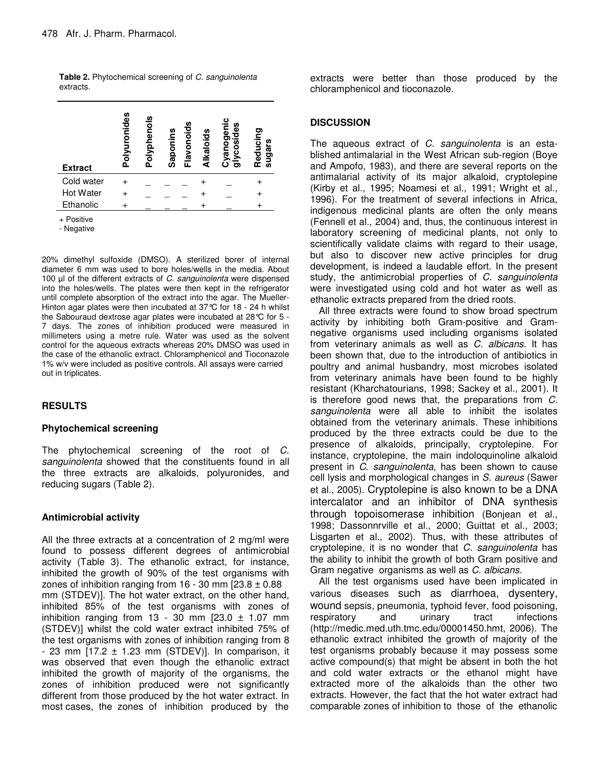| <b>Extract</b>   | Polyuronides | Polyphenols | aponins<br>ഗ | lavonoids<br>Alkaloids<br>ட | ပ<br>yanogeni<br>စ္ၿ<br><b>cosid</b> | Reducing<br>sugars |
|------------------|--------------|-------------|--------------|-----------------------------|--------------------------------------|--------------------|
| Cold water       |              |             |              |                             |                                      |                    |
| <b>Hot Water</b> |              |             |              |                             |                                      |                    |
| Ethanolic        |              |             |              |                             |                                      |                    |
| $\overline{D}$   |              |             |              |                             |                                      |                    |

**Table 2.** Phytochemical screening of *C. sanguinolenta* extracts.

**Positive** 

- Negative

20% dimethyl sulfoxide (DMSO). A sterilized borer of internal diameter 6 mm was used to bore holes/wells in the media. About 100 µl of the different extracts of *C. sanguinolenta* were dispensed into the holes/wells. The plates were then kept in the refrigerator until complete absorption of the extract into the agar. The Mueller-Hinton agar plates were then incubated at 37 °C for 18 - 24 h whilst the Sabouraud dextrose agar plates were incubated at 28°C for 5 - 7 days. The zones of inhibition produced were measured in millimeters using a metre rule. Water was used as the solvent control for the aqueous extracts whereas 20% DMSO was used in the case of the ethanolic extract. Chloramphenicol and Tioconazole 1% w/v were included as positive controls. All assays were carried out in triplicates.

# **RESULTS**

# **Phytochemical screening**

The phytochemical screening of the root of *C. sanguinolenta* showed that the constituents found in all the three extracts are alkaloids, polyuronides, and reducing sugars (Table 2).

# **Antimicrobial activity**

All the three extracts at a concentration of 2 mg/ml were found to possess different degrees of antimicrobial activity (Table 3). The ethanolic extract, for instance, inhibited the growth of 90% of the test organisms with zones of inhibition ranging from  $16 - 30$  mm  $[23.8 \pm 0.88]$ mm (STDEV)]. The hot water extract, on the other hand, inhibited 85% of the test organisms with zones of inhibition ranging from 13 - 30 mm  $[23.0 \pm 1.07$  mm (STDEV)] whilst the cold water extract inhibited 75% of the test organisms with zones of inhibition ranging from 8 - 23 mm  $[17.2 \pm 1.23$  mm (STDEV)]. In comparison, it was observed that even though the ethanolic extract inhibited the growth of majority of the organisms, the zones of inhibition produced were not significantly different from those produced by the hot water extract. In most cases, the zones of inhibition produced by the extracts were better than those produced by the chloramphenicol and tioconazole.

# **DISCUSSION**

The aqueous extract of *C. sanguinolenta* is an established antimalarial in the West African sub-region (Boye and Ampofo, 1983), and there are several reports on the antimalarial activity of its major alkaloid, cryptolepine (Kirby et al., 1995; Noamesi et al., 1991; Wright et al., 1996). For the treatment of several infections in Africa, indigenous medicinal plants are often the only means (Fennell et al., 2004) and, thus, the continuous interest in laboratory screening of medicinal plants, not only to scientifically validate claims with regard to their usage, but also to discover new active principles for drug development, is indeed a laudable effort. In the present study, the antimicrobial properties of *C*. *sanguinolenta* were investigated using cold and hot water as well as ethanolic extracts prepared from the dried roots.

All three extracts were found to show broad spectrum activity by inhibiting both Gram-positive and Gramnegative organisms used including organisms isolated from veterinary animals as well as *C. albicans*. It has been shown that, due to the introduction of antibiotics in poultry and animal husbandry, most microbes isolated from veterinary animals have been found to be highly resistant (Kharchatourians, 1998; Sackey et al., 2001). It is therefore good news that, the preparations from *C. sanguinolenta* were all able to inhibit the isolates obtained from the veterinary animals. These inhibitions produced by the three extracts could be due to the presence of alkaloids, principally, cryptolepine. For instance, cryptolepine, the main indoloquinoline alkaloid present in *C*. *sanguinolenta,* has been shown to cause cell lysis and morphological changes in *S. aureus* (Sawer et al., 2005). Cryptolepine is also known to be a DNA intercalator and an inhibitor of DNA synthesis through topoisomerase inhibition (Bonjean et al., 1998; Dassonnrville et al., 2000; Guittat et al., 2003; Lisgarten et al., 2002). Thus, with these attributes of cryptolepine, it is no wonder that *C. sanguinolenta* has the ability to inhibit the growth of both Gram positive and Gram negative organisms as well as *C. albicans*.

All the test organisms used have been implicated in various diseases such as diarrhoea, dysentery, wound sepsis, pneumonia, typhoid fever, food poisoning, respiratory and urinary tract infections (http://medic.med.uth.tmc.edu/00001450.hmt, 2006). The ethanolic extract inhibited the growth of majority of the test organisms probably because it may possess some active compound(s) that might be absent in both the hot and cold water extracts or the ethanol might have extracted more of the alkaloids than the other two extracts. However, the fact that the hot water extract had comparable zones of inhibition to those of the ethanolic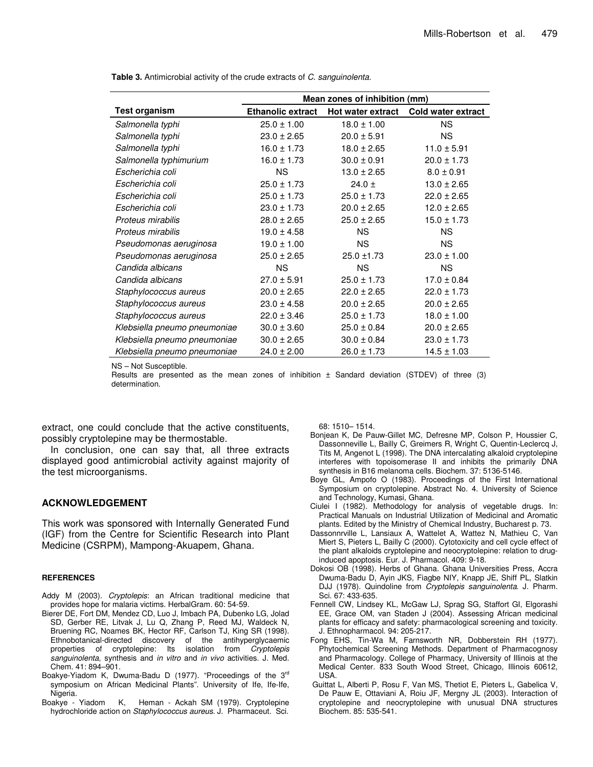|                              | Mean zones of inhibition (mm) |                          |                    |  |  |  |
|------------------------------|-------------------------------|--------------------------|--------------------|--|--|--|
| <b>Test organism</b>         | <b>Ethanolic extract</b>      | <b>Hot water extract</b> | Cold water extract |  |  |  |
| Salmonella typhi             | $25.0 \pm 1.00$               | $18.0 \pm 1.00$          | <b>NS</b>          |  |  |  |
| Salmonella typhi             | $23.0 \pm 2.65$               | $20.0 \pm 5.91$          | <b>NS</b>          |  |  |  |
| Salmonella typhi             | $16.0 \pm 1.73$               | $18.0 \pm 2.65$          | $11.0 \pm 5.91$    |  |  |  |
| Salmonella typhimurium       | $16.0 \pm 1.73$               | $30.0 \pm 0.91$          | $20.0 \pm 1.73$    |  |  |  |
| Escherichia coli             | <b>NS</b>                     | $13.0 \pm 2.65$          | $8.0 \pm 0.91$     |  |  |  |
| Escherichia coli             | $25.0 \pm 1.73$               | 24.0 $\pm$               | $13.0 \pm 2.65$    |  |  |  |
| Escherichia coli             | $25.0 \pm 1.73$               | $25.0 \pm 1.73$          | $22.0 \pm 2.65$    |  |  |  |
| Escherichia coli             | $23.0 \pm 1.73$               | $20.0 \pm 2.65$          | $12.0 \pm 2.65$    |  |  |  |
| Proteus mirabilis            | $28.0 \pm 2.65$               | $25.0 \pm 2.65$          | $15.0 \pm 1.73$    |  |  |  |
| Proteus mirabilis            | $19.0 \pm 4.58$               | <b>NS</b>                | <b>NS</b>          |  |  |  |
| Pseudomonas aeruginosa       | $19.0 \pm 1.00$               | <b>NS</b>                | <b>NS</b>          |  |  |  |
| Pseudomonas aeruginosa       | $25.0 \pm 2.65$               | $25.0 \pm 1.73$          | $23.0 \pm 1.00$    |  |  |  |
| Candida albicans             | <b>NS</b>                     | <b>NS</b>                | <b>NS</b>          |  |  |  |
| Candida albicans             | $27.0 \pm 5.91$               | $25.0 \pm 1.73$          | $17.0 \pm 0.84$    |  |  |  |
| Staphylococcus aureus        | $20.0 \pm 2.65$               | $22.0 \pm 2.65$          | $22.0 \pm 1.73$    |  |  |  |
| Staphylococcus aureus        | $23.0 \pm 4.58$               | $20.0 \pm 2.65$          | $20.0 \pm 2.65$    |  |  |  |
| Staphylococcus aureus        | $22.0 \pm 3.46$               | $25.0 \pm 1.73$          | $18.0 \pm 1.00$    |  |  |  |
| Klebsiella pneumo pneumoniae | $30.0 \pm 3.60$               | $25.0 \pm 0.84$          | $20.0 \pm 2.65$    |  |  |  |
| Klebsiella pneumo pneumoniae | $30.0 \pm 2.65$               | $30.0 \pm 0.84$          | $23.0 \pm 1.73$    |  |  |  |
| Klebsiella pneumo pneumoniae | $24.0 \pm 2.00$               | $26.0 \pm 1.73$          | $14.5 \pm 1.03$    |  |  |  |

**Table 3.** Antimicrobial activity of the crude extracts of *C. sanguinolenta.*

NS – Not Susceptible.

Results are presented as the mean zones of inhibition  $\pm$  Sandard deviation (STDEV) of three (3) determination.

extract, one could conclude that the active constituents, possibly cryptolepine may be thermostable.

In conclusion, one can say that, all three extracts displayed good antimicrobial activity against majority of the test microorganisms.

# **ACKNOWLEDGEMENT**

This work was sponsored with Internally Generated Fund (IGF) from the Centre for Scientific Research into Plant Medicine (CSRPM), Mampong-Akuapem, Ghana.

#### **REFERENCES**

- Addy M (2003). *Cryptolepis*: an African traditional medicine that provides hope for malaria victims. HerbalGram. 60: 54-59.
- Bierer DE, Fort DM, Mendez CD, Luo J, Imbach PA, Dubenko LG, Jolad SD, Gerber RE, Litvak J, Lu Q, Zhang P, Reed MJ, Waldeck N, Bruening RC, Noames BK, Hector RF, Carlson TJ, King SR (1998). Ethnobotanical-directed discovery of the antihyperglycaemic<br>properties of cryptolepine: Its isolation from *Cryptolepis* properties of cryptolepine: Its isolation from *Cryptolepis sanguinolenta*, synthesis and *in vitro* and *in vivo* activities. J. Med. Chem. 41: 894–901.
- Boakye-Yiadom K, Dwuma-Badu D (1977). "Proceedings of the 3<sup>rd</sup> symposium on African Medicinal Plants". University of Ife, Ife-Ife, Nigeria.<br>Boakye - Yiadom
- K, Heman Ackah SM (1979). Cryptolepine hydrochloride action on *Staphylococcus aureus*. J. Pharmaceut. Sci.

68: 1510– 1514.

- Bonjean K, De Pauw-Gillet MC, Defresne MP, Colson P, Houssier C, Dassonneville L, Bailly C, Greimers R, Wright C, Quentin-Leclercq J, Tits M, Angenot L (1998). The DNA intercalating alkaloid cryptolepine interferes with topoisomerase II and inhibits the primarily DNA synthesis in B16 melanoma cells. Biochem. 37: 5136-5146.
- Boye GL, Ampofo O (1983). Proceedings of the First International Symposium on cryptolepine. Abstract No. 4. University of Science and Technology, Kumasi, Ghana.
- Ciulei I (1982). Methodology for analysis of vegetable drugs. In: Practical Manuals on Industrial Utilization of Medicinal and Aromatic plants. Edited by the Ministry of Chemical Industry, Bucharest p. 73.
- Dassonnrville L, Lansiaux A, Wattelet A, Wattez N, Mathieu C, Van Miert S, Pieters L, Bailly C (2000). Cytotoxicity and cell cycle effect of the plant alkaloids cryptolepine and neocryptolepine: relation to druginduced apoptosis. Eur. J. Pharmacol. 409: 9-18.
- Dokosi OB (1998). Herbs of Ghana. Ghana Universities Press, Accra Dwuma-Badu D, Ayin JKS, Fiagbe NIY, Knapp JE, Shiff PL, Slatkin DJJ (1978). Quindoline from *Cryptolepis sanguinolenta*. J. Pharm. Sci. 67: 433-635.
- Fennell CW, Lindsey KL, McGaw LJ, Sprag SG, Staffort GI, Elgorashi EE, Grace OM, van Staden J (2004). Assessing African medicinal plants for efficacy and safety: pharmacological screening and toxicity. J. Ethnopharmacol. 94: 205-217.
- Fong EHS, Tin-Wa M, Farnsworth NR, Dobberstein RH (1977). Phytochemical Screening Methods. Department of Pharmacognosy and Pharmacology. College of Pharmacy, University of Illinois at the Medical Center. 833 South Wood Street, Chicago, Illinois 60612, USA.
- Guittat L, Alberti P, Rosu F, Van MS, Thetiot E, Pieters L, Gabelica V, De Pauw E, Ottaviani A, Roiu JF, Mergny JL (2003). Interaction of cryptolepine and neocryptolepine with unusual DNA structures Biochem. 85: 535-541.